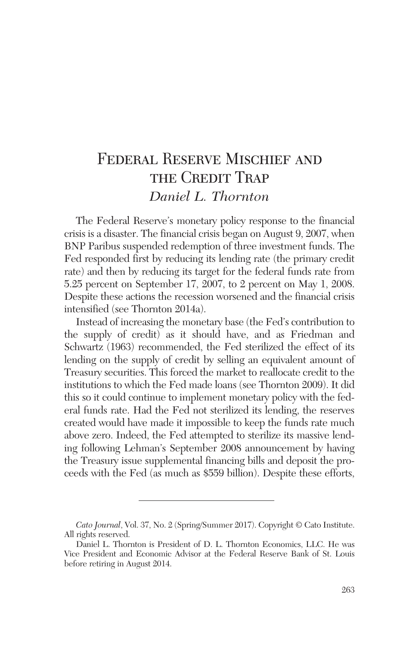# Federal Reserve Mischief and THE CREDIT TRAP *Daniel L. Thornton*

The Federal Reserve's monetary policy response to the financial crisis is a disaster. The financial crisis began on August 9, 2007, when BNP Paribus suspended redemption of three investment funds. The Fed responded first by reducing its lending rate (the primary credit rate) and then by reducing its target for the federal funds rate from 5.25 percent on September 17, 2007, to 2 percent on May 1, 2008. Despite these actions the recession worsened and the financial crisis intensified (see Thornton 2014a).

Instead of increasing the monetary base (the Fed's contribution to the supply of credit) as it should have, and as Friedman and Schwartz (1963) recommended, the Fed sterilized the effect of its lending on the supply of credit by selling an equivalent amount of Treasury securities. This forced the market to reallocate credit to the institutions to which the Fed made loans (see Thornton 2009). It did this so it could continue to implement monetary policy with the federal funds rate. Had the Fed not sterilized its lending, the reserves created would have made it impossible to keep the funds rate much above zero. Indeed, the Fed attempted to sterilize its massive lending following Lehman's September 2008 announcement by having the Treasury issue supplemental financing bills and deposit the proceeds with the Fed (as much as \$559 billion). Despite these efforts,

*Cato Journal*, Vol. 37, No. 2 (Spring/Summer 2017). Copyright © Cato Institute. All rights reserved.

Daniel L. Thornton is President of D. L. Thornton Economics, LLC. He was Vice President and Economic Advisor at the Federal Reserve Bank of St. Louis before retiring in August 2014.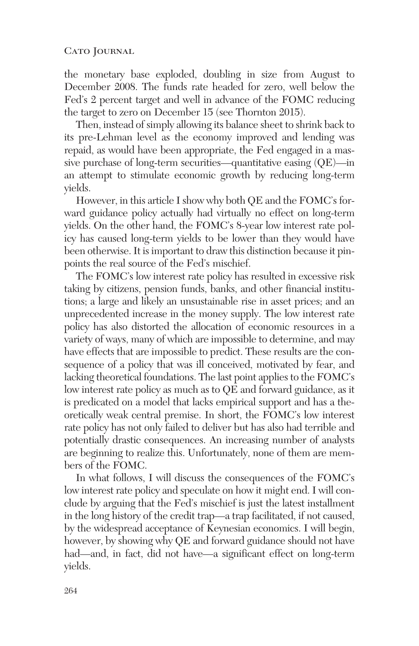the monetary base exploded, doubling in size from August to December 2008. The funds rate headed for zero, well below the Fed's 2 percent target and well in advance of the FOMC reducing the target to zero on December 15 (see Thornton 2015).

Then, instead of simply allowing its balance sheet to shrink back to its pre-Lehman level as the economy improved and lending was repaid, as would have been appropriate, the Fed engaged in a massive purchase of long-term securities—quantitative easing (QE)—in an attempt to stimulate economic growth by reducing long-term yields.

However, in this article I show why both QE and the FOMC's forward guidance policy actually had virtually no effect on long-term yields. On the other hand, the FOMC's 8-year low interest rate policy has caused long-term yields to be lower than they would have been otherwise. It is important to draw this distinction because it pinpoints the real source of the Fed's mischief.

The FOMC's low interest rate policy has resulted in excessive risk taking by citizens, pension funds, banks, and other financial institutions; a large and likely an unsustainable rise in asset prices; and an unprecedented increase in the money supply. The low interest rate policy has also distorted the allocation of economic resources in a variety of ways, many of which are impossible to determine, and may have effects that are impossible to predict. These results are the consequence of a policy that was ill conceived, motivated by fear, and lacking theoretical foundations. The last point applies to the FOMC's low interest rate policy as much as to QE and forward guidance, as it is predicated on a model that lacks empirical support and has a theoretically weak central premise. In short, the FOMC's low interest rate policy has not only failed to deliver but has also had terrible and potentially drastic consequences. An increasing number of analysts are beginning to realize this. Unfortunately, none of them are members of the FOMC.

In what follows, I will discuss the consequences of the FOMC's low interest rate policy and speculate on how it might end. I will conclude by arguing that the Fed's mischief is just the latest installment in the long history of the credit trap—a trap facilitated, if not caused, by the widespread acceptance of Keynesian economics. I will begin, however, by showing why QE and forward guidance should not have had—and, in fact, did not have—a significant effect on long-term yields.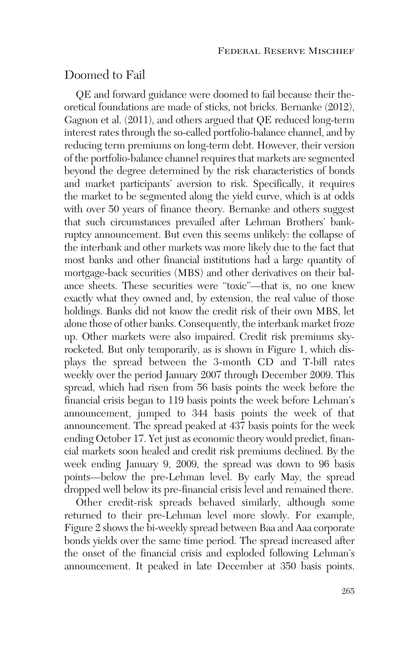# Doomed to Fail

QE and forward guidance were doomed to fail because their theoretical foundations are made of sticks, not bricks. Bernanke (2012), Gagnon et al. (2011), and others argued that QE reduced long-term interest rates through the so-called portfolio-balance channel, and by reducing term premiums on long-term debt. However, their version of the portfolio-balance channel requires that markets are segmented beyond the degree determined by the risk characteristics of bonds and market participants' aversion to risk. Specifically, it requires the market to be segmented along the yield curve, which is at odds with over 50 years of finance theory. Bernanke and others suggest that such circumstances prevailed after Lehman Brothers' bankruptcy announcement. But even this seems unlikely: the collapse of the interbank and other markets was more likely due to the fact that most banks and other financial institutions had a large quantity of mortgage-back securities (MBS) and other derivatives on their balance sheets. These securities were "toxic"—that is, no one knew exactly what they owned and, by extension, the real value of those holdings. Banks did not know the credit risk of their own MBS, let alone those of other banks. Consequently, the interbank market froze up. Other markets were also impaired. Credit risk premiums skyrocketed. But only temporarily, as is shown in Figure 1, which displays the spread between the 3-month CD and T-bill rates weekly over the period January 2007 through December 2009. This spread, which had risen from 56 basis points the week before the financial crisis began to 119 basis points the week before Lehman's announcement, jumped to 344 basis points the week of that announcement. The spread peaked at 437 basis points for the week ending October 17. Yet just as economic theory would predict, financial markets soon healed and credit risk premiums declined. By the week ending January 9, 2009, the spread was down to 96 basis points—below the pre-Lehman level. By early May, the spread dropped well below its pre-financial crisis level and remained there.

Other credit-risk spreads behaved similarly, although some returned to their pre-Lehman level more slowly. For example, Figure 2 shows the bi-weekly spread between Baa and Aaa corporate bonds yields over the same time period. The spread increased after the onset of the financial crisis and exploded following Lehman's announcement. It peaked in late December at 350 basis points.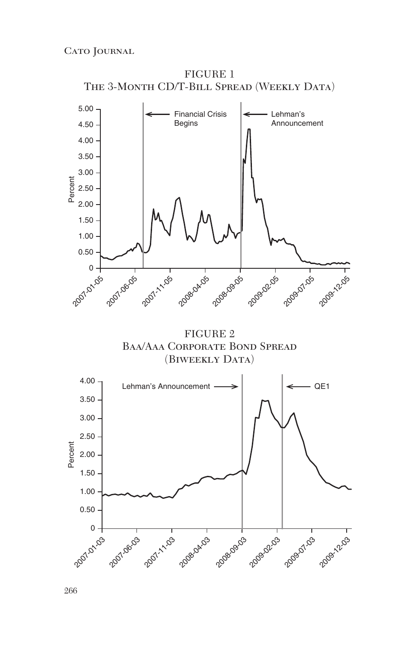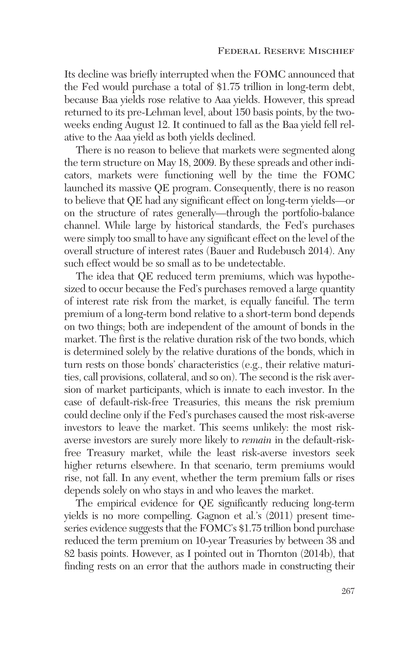Its decline was briefly interrupted when the FOMC announced that the Fed would purchase a total of \$1.75 trillion in long-term debt, because Baa yields rose relative to Aaa yields. However, this spread returned to its pre-Lehman level, about 150 basis points, by the twoweeks ending August 12. It continued to fall as the Baa yield fell relative to the Aaa yield as both yields declined.

There is no reason to believe that markets were segmented along the term structure on May 18, 2009. By these spreads and other indicators, markets were functioning well by the time the FOMC launched its massive QE program. Consequently, there is no reason to believe that QE had any significant effect on long-term yields—or on the structure of rates generally—through the portfolio-balance channel. While large by historical standards, the Fed's purchases were simply too small to have any significant effect on the level of the overall structure of interest rates (Bauer and Rudebusch 2014). Any such effect would be so small as to be undetectable.

The idea that QE reduced term premiums, which was hypothesized to occur because the Fed's purchases removed a large quantity of interest rate risk from the market, is equally fanciful. The term premium of a long-term bond relative to a short-term bond depends on two things; both are independent of the amount of bonds in the market. The first is the relative duration risk of the two bonds, which is determined solely by the relative durations of the bonds, which in turn rests on those bonds' characteristics (e.g., their relative maturities, call provisions, collateral, and so on). The second is the risk aversion of market participants, which is innate to each investor. In the case of default-risk-free Treasuries, this means the risk premium could decline only if the Fed's purchases caused the most risk-averse investors to leave the market. This seems unlikely: the most riskaverse investors are surely more likely to *remain* in the default-riskfree Treasury market, while the least risk-averse investors seek higher returns elsewhere. In that scenario, term premiums would rise, not fall. In any event, whether the term premium falls or rises depends solely on who stays in and who leaves the market.

The empirical evidence for QE significantly reducing long-term yields is no more compelling. Gagnon et al.'s (2011) present timeseries evidence suggests that the FOMC's \$1.75 trillion bond purchase reduced the term premium on 10-year Treasuries by between 38 and 82 basis points. However, as I pointed out in Thornton (2014b), that finding rests on an error that the authors made in constructing their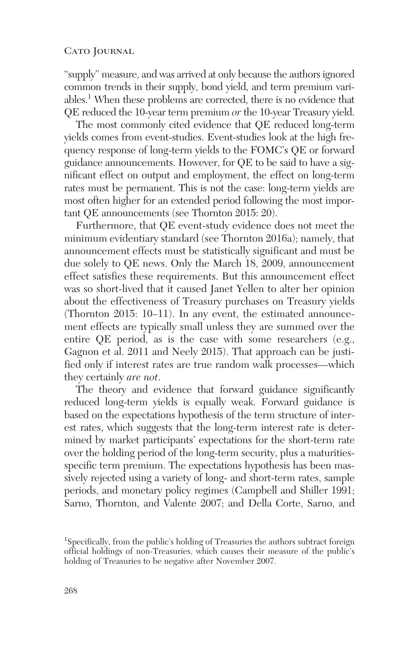"supply" measure, and was arrived at only because the authors ignored common trends in their supply, bond yield, and term premium variables.1 When these problems are corrected, there is no evidence that QE reduced the 10-year term premium *or* the 10-year Treasury yield.

The most commonly cited evidence that QE reduced long-term yields comes from event-studies. Event-studies look at the high frequency response of long-term yields to the FOMC's QE or forward guidance announcements. However, for QE to be said to have a significant effect on output and employment, the effect on long-term rates must be permanent. This is not the case: long-term yields are most often higher for an extended period following the most important QE announcements (see Thornton 2015: 20).

Furthermore, that QE event-study evidence does not meet the minimum evidentiary standard (see Thornton 2016a); namely, that announcement effects must be statistically significant and must be due solely to QE news. Only the March 18, 2009, announcement effect satisfies these requirements. But this announcement effect was so short-lived that it caused Janet Yellen to alter her opinion about the effectiveness of Treasury purchases on Treasury yields (Thornton 2015: 10–11). In any event, the estimated announcement effects are typically small unless they are summed over the entire QE period, as is the case with some researchers (e.g., Gagnon et al. 2011 and Neely 2015). That approach can be justified only if interest rates are true random walk processes—which they certainly *are not*.

The theory and evidence that forward guidance significantly reduced long-term yields is equally weak. Forward guidance is based on the expectations hypothesis of the term structure of interest rates, which suggests that the long-term interest rate is determined by market participants' expectations for the short-term rate over the holding period of the long-term security, plus a maturitiesspecific term premium. The expectations hypothesis has been massively rejected using a variety of long- and short-term rates, sample periods, and monetary policy regimes (Campbell and Shiller 1991; Sarno, Thornton, and Valente 2007; and Della Corte, Sarno, and

<sup>&</sup>lt;sup>1</sup>Specifically, from the public's holding of Treasuries the authors subtract foreign official holdings of non-Treasuries, which causes their measure of the public's holding of Treasuries to be negative after November 2007.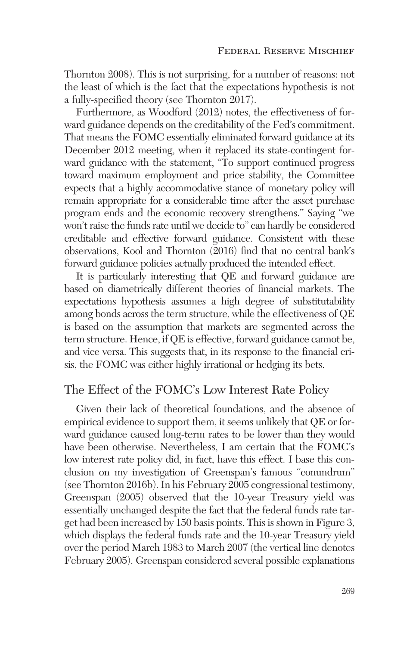Thornton 2008). This is not surprising, for a number of reasons: not the least of which is the fact that the expectations hypothesis is not a fully-specified theory (see Thornton 2017).

Furthermore, as Woodford (2012) notes, the effectiveness of forward guidance depends on the creditability of the Fed's commitment. That means the FOMC essentially eliminated forward guidance at its December 2012 meeting, when it replaced its state-contingent forward guidance with the statement, "To support continued progress toward maximum employment and price stability, the Committee expects that a highly accommodative stance of monetary policy will remain appropriate for a considerable time after the asset purchase program ends and the economic recovery strengthens." Saying "we won't raise the funds rate until we decide to" can hardly be considered creditable and effective forward guidance. Consistent with these observations, Kool and Thornton (2016) find that no central bank's forward guidance policies actually produced the intended effect.

It is particularly interesting that QE and forward guidance are based on diametrically different theories of financial markets. The expectations hypothesis assumes a high degree of substitutability among bonds across the term structure, while the effectiveness of QE is based on the assumption that markets are segmented across the term structure. Hence, if QE is effective, forward guidance cannot be, and vice versa. This suggests that, in its response to the financial crisis, the FOMC was either highly irrational or hedging its bets.

#### The Effect of the FOMC's Low Interest Rate Policy

Given their lack of theoretical foundations, and the absence of empirical evidence to support them, it seems unlikely that QE or forward guidance caused long-term rates to be lower than they would have been otherwise. Nevertheless, I am certain that the FOMC's low interest rate policy did, in fact, have this effect. I base this conclusion on my investigation of Greenspan's famous "conundrum" (see Thornton 2016b). In his February 2005 congressional testimony, Greenspan (2005) observed that the 10-year Treasury yield was essentially unchanged despite the fact that the federal funds rate target had been increased by 150 basis points. This is shown in Figure 3, which displays the federal funds rate and the 10-year Treasury yield over the period March 1983 to March 2007 (the vertical line denotes February 2005). Greenspan considered several possible explanations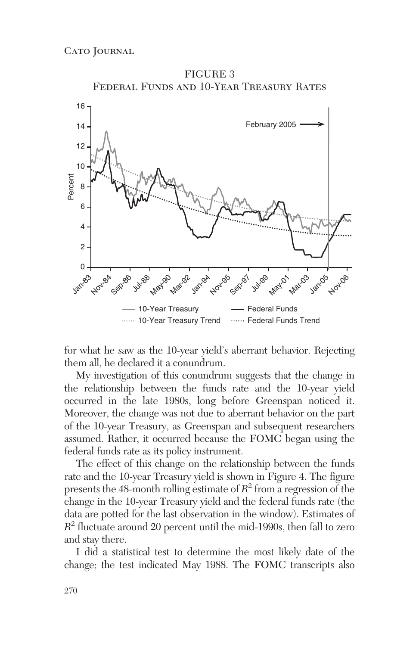

for what he saw as the 10-year yield's aberrant behavior. Rejecting them all, he declared it a conundrum.

My investigation of this conundrum suggests that the change in the relationship between the funds rate and the 10-year yield occurred in the late 1980s, long before Greenspan noticed it. Moreover, the change was not due to aberrant behavior on the part of the 10-year Treasury, as Greenspan and subsequent researchers assumed. Rather, it occurred because the FOMC began using the federal funds rate as its policy instrument.

The effect of this change on the relationship between the funds rate and the 10-year Treasury yield is shown in Figure 4. The figure presents the 48-month rolling estimate of  $R^2$  from a regression of the change in the 10-year Treasury yield and the federal funds rate (the data are potted for the last observation in the window). Estimates of *R*<sup>2</sup> fluctuate around 20 percent until the mid-1990s, then fall to zero and stay there.

I did a statistical test to determine the most likely date of the change; the test indicated May 1988. The FOMC transcripts also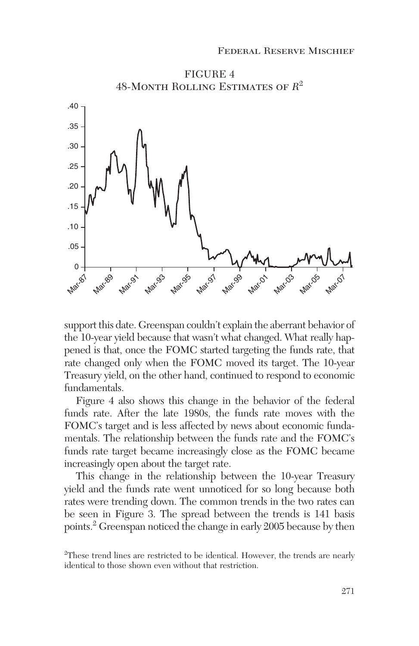

support this date. Greenspan couldn't explain the aberrant behavior of the 10-year yield because that wasn't what changed. What really happened is that, once the FOMC started targeting the funds rate, that rate changed only when the FOMC moved its target. The 10-year Treasury yield, on the other hand, continued to respond to economic fundamentals.

Figure 4 also shows this change in the behavior of the federal funds rate. After the late 1980s, the funds rate moves with the FOMC's target and is less affected by news about economic fundamentals. The relationship between the funds rate and the FOMC's funds rate target became increasingly close as the FOMC became increasingly open about the target rate.

This change in the relationship between the 10-year Treasury yield and the funds rate went unnoticed for so long because both rates were trending down. The common trends in the two rates can be seen in Figure 3. The spread between the trends is 141 basis points.2 Greenspan noticed the change in early 2005 because by then

<sup>&</sup>lt;sup>2</sup>These trend lines are restricted to be identical. However, the trends are nearly identical to those shown even without that restriction.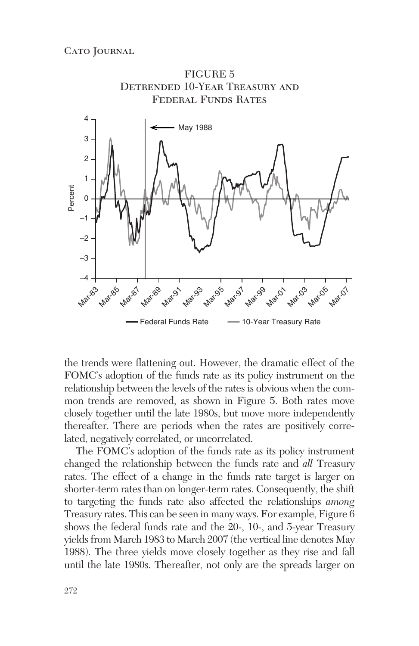

the trends were flattening out. However, the dramatic effect of the FOMC's adoption of the funds rate as its policy instrument on the relationship between the levels of the rates is obvious when the common trends are removed, as shown in Figure 5. Both rates move closely together until the late 1980s, but move more independently thereafter. There are periods when the rates are positively correlated, negatively correlated, or uncorrelated.

The FOMC's adoption of the funds rate as its policy instrument changed the relationship between the funds rate and *all* Treasury rates. The effect of a change in the funds rate target is larger on shorter-term rates than on longer-term rates. Consequently, the shift to targeting the funds rate also affected the relationships *among* Treasury rates. This can be seen in many ways. For example, Figure 6 shows the federal funds rate and the 20-, 10-, and 5-year Treasury yields from March 1983 to March 2007 (the vertical line denotes May 1988). The three yields move closely together as they rise and fall until the late 1980s. Thereafter, not only are the spreads larger on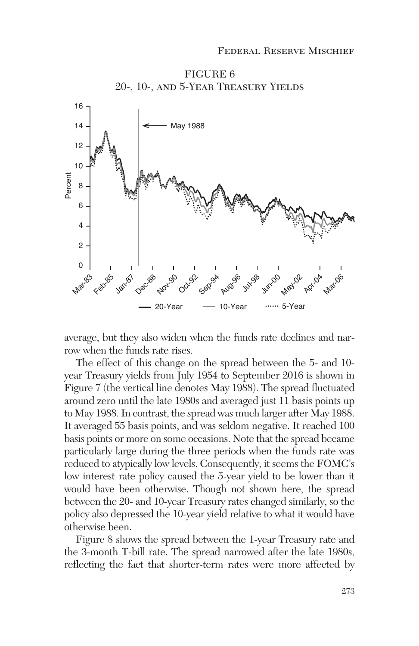

FIGURE 6 20-, 10-, and 5-Year Treasury Yields

average, but they also widen when the funds rate declines and narrow when the funds rate rises.

The effect of this change on the spread between the 5- and 10 year Treasury yields from July 1954 to September 2016 is shown in Figure 7 (the vertical line denotes May 1988). The spread fluctuated around zero until the late 1980s and averaged just 11 basis points up to May 1988. In contrast, the spread was much larger after May 1988. It averaged 55 basis points, and was seldom negative. It reached 100 basis points or more on some occasions. Note that the spread became particularly large during the three periods when the funds rate was reduced to atypically low levels. Consequently, it seems the FOMC's low interest rate policy caused the 5-year yield to be lower than it would have been otherwise. Though not shown here, the spread between the 20- and 10-year Treasury rates changed similarly, so the policy also depressed the 10-year yield relative to what it would have otherwise been.

Figure 8 shows the spread between the 1-year Treasury rate and the 3-month T-bill rate. The spread narrowed after the late 1980s, reflecting the fact that shorter-term rates were more affected by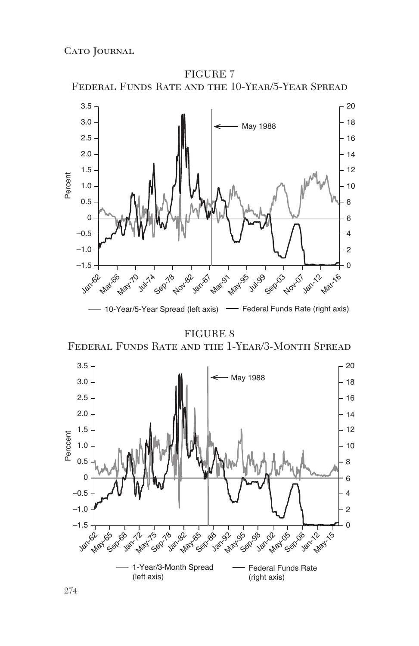

FIGURE 7

## FIGURE 8

Federal Funds Rate and the 1-Year/3-Month Spread

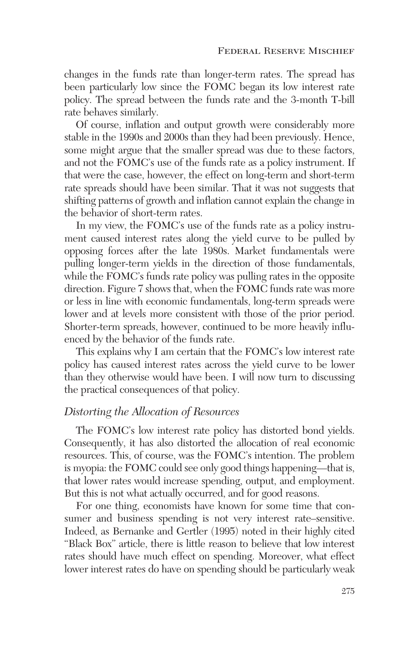changes in the funds rate than longer-term rates. The spread has been particularly low since the FOMC began its low interest rate policy. The spread between the funds rate and the 3-month T-bill rate behaves similarly.

Of course, inflation and output growth were considerably more stable in the 1990s and 2000s than they had been previously. Hence, some might argue that the smaller spread was due to these factors, and not the FOMC's use of the funds rate as a policy instrument. If that were the case, however, the effect on long-term and short-term rate spreads should have been similar. That it was not suggests that shifting patterns of growth and inflation cannot explain the change in the behavior of short-term rates.

In my view, the FOMC's use of the funds rate as a policy instrument caused interest rates along the yield curve to be pulled by opposing forces after the late 1980s. Market fundamentals were pulling longer-term yields in the direction of those fundamentals, while the FOMC's funds rate policy was pulling rates in the opposite direction. Figure 7 shows that, when the FOMC funds rate was more or less in line with economic fundamentals, long-term spreads were lower and at levels more consistent with those of the prior period. Shorter-term spreads, however, continued to be more heavily influenced by the behavior of the funds rate.

This explains why I am certain that the FOMC's low interest rate policy has caused interest rates across the yield curve to be lower than they otherwise would have been. I will now turn to discussing the practical consequences of that policy.

#### *Distorting the Allocation of Resources*

The FOMC's low interest rate policy has distorted bond yields. Consequently, it has also distorted the allocation of real economic resources. This, of course, was the FOMC's intention. The problem is myopia: the FOMC could see only good things happening—that is, that lower rates would increase spending, output, and employment. But this is not what actually occurred, and for good reasons.

For one thing, economists have known for some time that consumer and business spending is not very interest rate–sensitive. Indeed, as Bernanke and Gertler (1995) noted in their highly cited "Black Box" article, there is little reason to believe that low interest rates should have much effect on spending. Moreover, what effect lower interest rates do have on spending should be particularly weak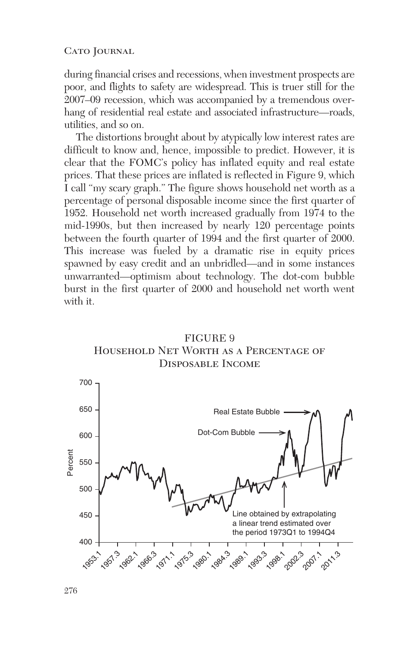during financial crises and recessions, when investment prospects are poor, and flights to safety are widespread. This is truer still for the 2007–09 recession, which was accompanied by a tremendous overhang of residential real estate and associated infrastructure—roads, utilities, and so on.

The distortions brought about by atypically low interest rates are difficult to know and, hence, impossible to predict. However, it is clear that the FOMC's policy has inflated equity and real estate prices. That these prices are inflated is reflected in Figure 9, which I call "my scary graph." The figure shows household net worth as a percentage of personal disposable income since the first quarter of 1952. Household net worth increased gradually from 1974 to the mid-1990s, but then increased by nearly 120 percentage points between the fourth quarter of 1994 and the first quarter of 2000. This increase was fueled by a dramatic rise in equity prices spawned by easy credit and an unbridled—and in some instances unwarranted—optimism about technology. The dot-com bubble burst in the first quarter of 2000 and household net worth went with it.



FIGURE 9 Household Net Worth as a Percentage of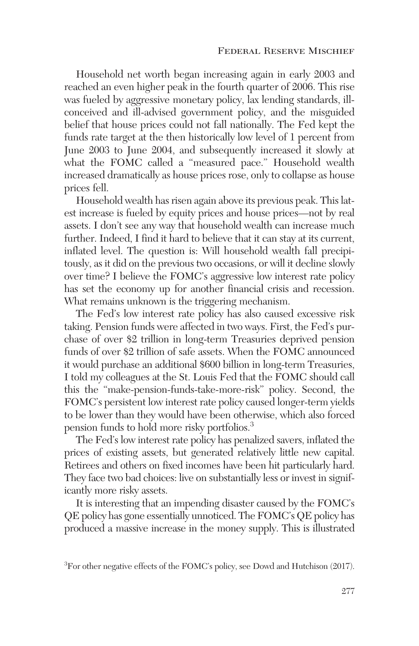Household net worth began increasing again in early 2003 and reached an even higher peak in the fourth quarter of 2006. This rise was fueled by aggressive monetary policy, lax lending standards, illconceived and ill-advised government policy, and the misguided belief that house prices could not fall nationally. The Fed kept the funds rate target at the then historically low level of 1 percent from June 2003 to June 2004, and subsequently increased it slowly at what the FOMC called a "measured pace." Household wealth increased dramatically as house prices rose, only to collapse as house prices fell.

Household wealth has risen again above its previous peak. This latest increase is fueled by equity prices and house prices—not by real assets. I don't see any way that household wealth can increase much further. Indeed, I find it hard to believe that it can stay at its current, inflated level. The question is: Will household wealth fall precipitously, as it did on the previous two occasions, or will it decline slowly over time? I believe the FOMC's aggressive low interest rate policy has set the economy up for another financial crisis and recession. What remains unknown is the triggering mechanism.

The Fed's low interest rate policy has also caused excessive risk taking. Pension funds were affected in two ways. First, the Fed's purchase of over \$2 trillion in long-term Treasuries deprived pension funds of over \$2 trillion of safe assets. When the FOMC announced it would purchase an additional \$600 billion in long-term Treasuries, I told my colleagues at the St. Louis Fed that the FOMC should call this the "make-pension-funds-take-more-risk" policy. Second, the FOMC's persistent low interest rate policy caused longer-term yields to be lower than they would have been otherwise, which also forced pension funds to hold more risky portfolios.3

The Fed's low interest rate policy has penalized savers, inflated the prices of existing assets, but generated relatively little new capital. Retirees and others on fixed incomes have been hit particularly hard. They face two bad choices: live on substantially less or invest in significantly more risky assets.

It is interesting that an impending disaster caused by the FOMC's QE policy has gone essentially unnoticed. The FOMC's QE policy has produced a massive increase in the money supply. This is illustrated

 ${}^{3}$ For other negative effects of the FOMC's policy, see Dowd and Hutchison (2017).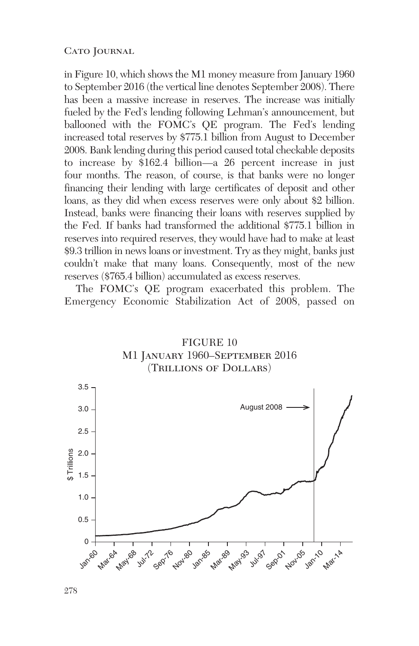in Figure 10, which shows the M1 money measure from January 1960 to September 2016 (the vertical line denotes September 2008). There has been a massive increase in reserves. The increase was initially fueled by the Fed's lending following Lehman's announcement, but ballooned with the FOMC's QE program. The Fed's lending increased total reserves by \$775.1 billion from August to December 2008. Bank lending during this period caused total checkable deposits to increase by \$162.4 billion—a 26 percent increase in just four months. The reason, of course, is that banks were no longer financing their lending with large certificates of deposit and other loans, as they did when excess reserves were only about \$2 billion. Instead, banks were financing their loans with reserves supplied by the Fed. If banks had transformed the additional \$775.1 billion in reserves into required reserves, they would have had to make at least \$9.3 trillion in news loans or investment. Try as they might, banks just couldn't make that many loans. Consequently, most of the new reserves (\$765.4 billion) accumulated as excess reserves.

The FOMC's QE program exacerbated this problem. The Emergency Economic Stabilization Act of 2008, passed on



FIGURE 10 M1 January 1960–September 2016 (Trillions of Dollars)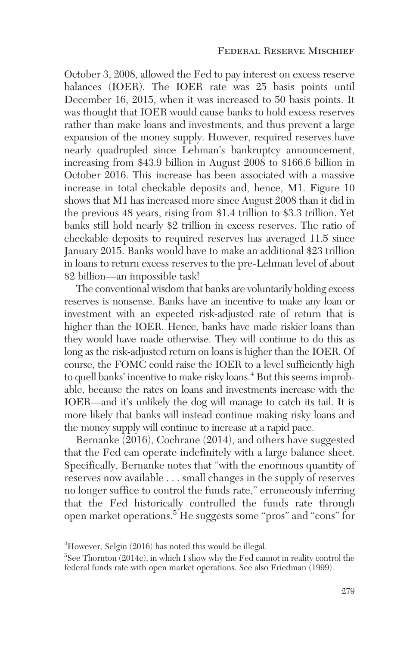October 3, 2008, allowed the Fed to pay interest on excess reserve balances (IOER). The IOER rate was 25 basis points until December 16, 2015, when it was increased to 50 basis points. It was thought that IOER would cause banks to hold excess reserves rather than make loans and investments, and thus prevent a large expansion of the money supply. However, required reserves have nearly quadrupled since Lehman's bankruptcy announcement, increasing from \$43.9 billion in August 2008 to \$166.6 billion in October 2016. This increase has been associated with a massive increase in total checkable deposits and, hence, M1. Figure 10 shows that M1 has increased more since August 2008 than it did in the previous 48 years, rising from \$1.4 trillion to \$3.3 trillion. Yet banks still hold nearly \$2 trillion in excess reserves. The ratio of checkable deposits to required reserves has averaged 11.5 since January 2015. Banks would have to make an additional \$23 trillion in loans to return excess reserves to the pre-Lehman level of about \$2 billion—an impossible task!

The conventional wisdom that banks are voluntarily holding excess reserves is nonsense. Banks have an incentive to make any loan or investment with an expected risk-adjusted rate of return that is higher than the IOER. Hence, banks have made riskier loans than they would have made otherwise. They will continue to do this as long as the risk-adjusted return on loans is higher than the IOER. Of course, the FOMC could raise the IOER to a level sufficiently high to quell banks' incentive to make risky loans.<sup>4</sup> But this seems improbable, because the rates on loans and investments increase with the IOER—and it's unlikely the dog will manage to catch its tail. It is more likely that banks will instead continue making risky loans and the money supply will continue to increase at a rapid pace.

Bernanke (2016), Cochrane (2014), and others have suggested that the Fed can operate indefinitely with a large balance sheet. Specifically, Bernanke notes that "with the enormous quantity of reserves now available . . . small changes in the supply of reserves no longer suffice to control the funds rate," erroneously inferring that the Fed historically controlled the funds rate through open market operations.<sup>5</sup> He suggests some "pros" and "cons" for

<sup>&</sup>lt;sup>4</sup>However, Selgin (2016) has noted this would be illegal.

 $5$ See Thornton (2014c), in which I show why the Fed cannot in reality control the federal funds rate with open market operations. See also Friedman (1999).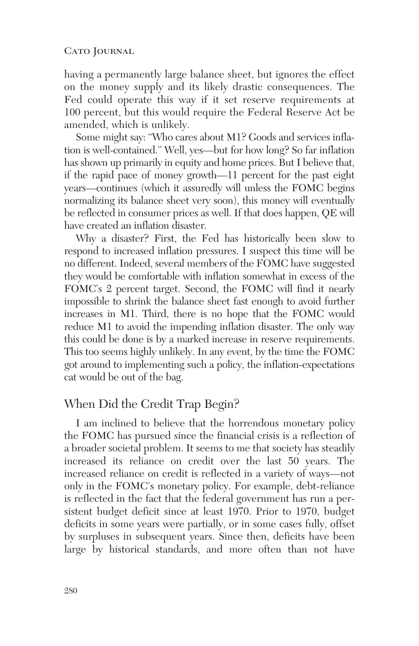having a permanently large balance sheet, but ignores the effect on the money supply and its likely drastic consequences. The Fed could operate this way if it set reserve requirements at 100 percent, but this would require the Federal Reserve Act be amended, which is unlikely.

Some might say: "Who cares about M1? Goods and services inflation is well-contained." Well, yes—but for how long? So far inflation has shown up primarily in equity and home prices. But I believe that, if the rapid pace of money growth—11 percent for the past eight years—continues (which it assuredly will unless the FOMC begins normalizing its balance sheet very soon), this money will eventually be reflected in consumer prices as well. If that does happen, QE will have created an inflation disaster.

Why a disaster? First, the Fed has historically been slow to respond to increased inflation pressures. I suspect this time will be no different. Indeed, several members of the FOMC have suggested they would be comfortable with inflation somewhat in excess of the FOMC's 2 percent target. Second, the FOMC will find it nearly impossible to shrink the balance sheet fast enough to avoid further increases in M1. Third, there is no hope that the FOMC would reduce M1 to avoid the impending inflation disaster. The only way this could be done is by a marked increase in reserve requirements. This too seems highly unlikely. In any event, by the time the FOMC got around to implementing such a policy, the inflation-expectations cat would be out of the bag.

## When Did the Credit Trap Begin?

I am inclined to believe that the horrendous monetary policy the FOMC has pursued since the financial crisis is a reflection of a broader societal problem. It seems to me that society has steadily increased its reliance on credit over the last 50 years. The increased reliance on credit is reflected in a variety of ways—not only in the FOMC's monetary policy. For example, debt-reliance is reflected in the fact that the federal government has run a persistent budget deficit since at least 1970. Prior to 1970, budget deficits in some years were partially, or in some cases fully, offset by surpluses in subsequent years. Since then, deficits have been large by historical standards, and more often than not have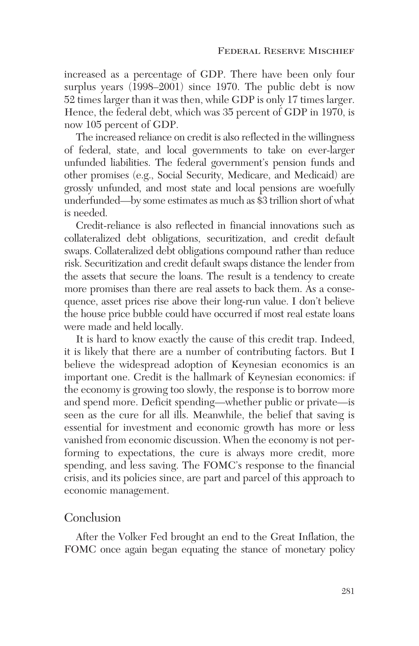increased as a percentage of GDP. There have been only four surplus years (1998–2001) since 1970. The public debt is now 52 times larger than it was then, while GDP is only 17 times larger. Hence, the federal debt, which was 35 percent of GDP in 1970, is now 105 percent of GDP.

The increased reliance on credit is also reflected in the willingness of federal, state, and local governments to take on ever-larger unfunded liabilities. The federal government's pension funds and other promises (e.g., Social Security, Medicare, and Medicaid) are grossly unfunded, and most state and local pensions are woefully underfunded—by some estimates as much as \$3 trillion short of what is needed.

Credit-reliance is also reflected in financial innovations such as collateralized debt obligations, securitization, and credit default swaps. Collateralized debt obligations compound rather than reduce risk. Securitization and credit default swaps distance the lender from the assets that secure the loans. The result is a tendency to create more promises than there are real assets to back them. As a consequence, asset prices rise above their long-run value. I don't believe the house price bubble could have occurred if most real estate loans were made and held locally.

It is hard to know exactly the cause of this credit trap. Indeed, it is likely that there are a number of contributing factors. But I believe the widespread adoption of Keynesian economics is an important one. Credit is the hallmark of Keynesian economics: if the economy is growing too slowly, the response is to borrow more and spend more. Deficit spending—whether public or private—is seen as the cure for all ills. Meanwhile, the belief that saving is essential for investment and economic growth has more or less vanished from economic discussion. When the economy is not performing to expectations, the cure is always more credit, more spending, and less saving. The FOMC's response to the financial crisis, and its policies since, are part and parcel of this approach to economic management.

## Conclusion

After the Volker Fed brought an end to the Great Inflation, the FOMC once again began equating the stance of monetary policy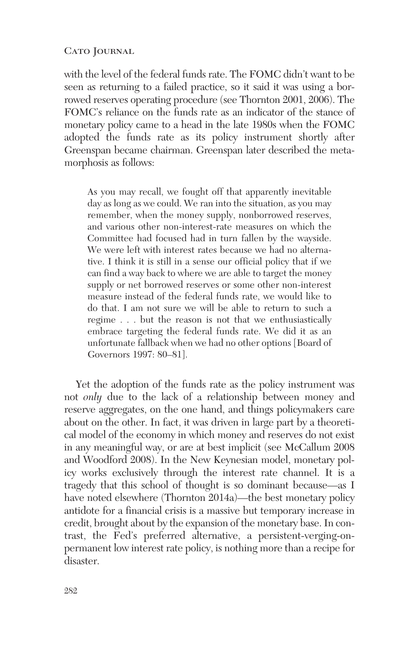with the level of the federal funds rate. The FOMC didn't want to be seen as returning to a failed practice, so it said it was using a borrowed reserves operating procedure (see Thornton 2001, 2006). The FOMC's reliance on the funds rate as an indicator of the stance of monetary policy came to a head in the late 1980s when the FOMC adopted the funds rate as its policy instrument shortly after Greenspan became chairman. Greenspan later described the metamorphosis as follows:

As you may recall, we fought off that apparently inevitable day as long as we could. We ran into the situation, as you may remember, when the money supply, nonborrowed reserves, and various other non-interest-rate measures on which the Committee had focused had in turn fallen by the wayside. We were left with interest rates because we had no alternative. I think it is still in a sense our official policy that if we can find a way back to where we are able to target the money supply or net borrowed reserves or some other non-interest measure instead of the federal funds rate, we would like to do that. I am not sure we will be able to return to such a regime . . . but the reason is not that we enthusiastically embrace targeting the federal funds rate. We did it as an unfortunate fallback when we had no other options [Board of Governors 1997: 80–81].

Yet the adoption of the funds rate as the policy instrument was not *only* due to the lack of a relationship between money and reserve aggregates, on the one hand, and things policymakers care about on the other. In fact, it was driven in large part by a theoretical model of the economy in which money and reserves do not exist in any meaningful way, or are at best implicit (see McCallum 2008 and Woodford 2008). In the New Keynesian model, monetary policy works exclusively through the interest rate channel. It is a tragedy that this school of thought is so dominant because—as I have noted elsewhere (Thornton 2014a)—the best monetary policy antidote for a financial crisis is a massive but temporary increase in credit, brought about by the expansion of the monetary base. In contrast, the Fed's preferred alternative, a persistent-verging-onpermanent low interest rate policy, is nothing more than a recipe for disaster.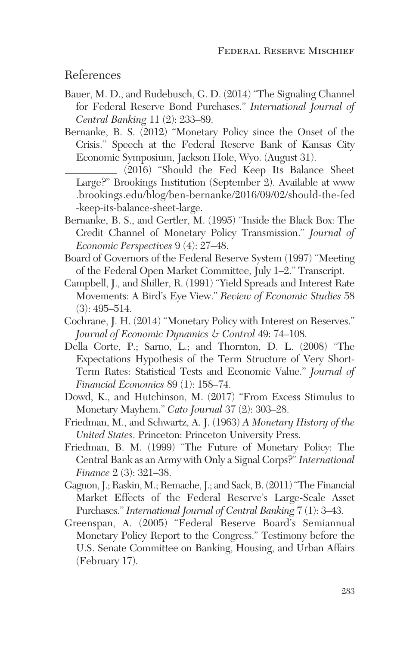References

- Bauer, M. D., and Rudebusch, G. D. (2014) "The Signaling Channel for Federal Reserve Bond Purchases." *International Journal of Central Banking* 11 (2): 233–89.
- Bernanke, B. S. (2012) "Monetary Policy since the Onset of the Crisis." Speech at the Federal Reserve Bank of Kansas City Economic Symposium, Jackson Hole, Wyo. (August 31).

(2016) "Should the Fed Keep Its Balance Sheet Large?" Brookings Institution (September 2). Available at www .brookings.edu/blog/ben-bernanke/2016/09/02/should-the-fed -keep-its-balance-sheet-large.

- Bernanke, B. S., and Gertler, M. (1995) "Inside the Black Box: The Credit Channel of Monetary Policy Transmission." *Journal of Economic Perspectives* 9 (4): 27–48.
- Board of Governors of the Federal Reserve System (1997) "Meeting of the Federal Open Market Committee, July 1–2." Transcript.
- Campbell, J., and Shiller, R. (1991) "Yield Spreads and Interest Rate Movements: A Bird's Eye View." *Review of Economic Studies* 58 (3): 495–514.
- Cochrane, J. H. (2014) "Monetary Policy with Interest on Reserves." *Journal of Economic Dynamics & Control* 49: 74–108.
- Della Corte, P.; Sarno, L.; and Thornton, D. L. (2008) "The Expectations Hypothesis of the Term Structure of Very Short-Term Rates: Statistical Tests and Economic Value." *Journal of Financial Economics* 89 (1): 158–74.
- Dowd, K., and Hutchinson, M. (2017) "From Excess Stimulus to Monetary Mayhem." *Cato Journal* 37 (2): 303–28.
- Friedman, M., and Schwartz, A. J. (1963) *A Monetary History of the United States*. Princeton: Princeton University Press.
- Friedman, B. M. (1999) "The Future of Monetary Policy: The Central Bank as an Army with Only a Signal Corps?" *International Finance* 2 (3): 321–38.
- Gagnon, J.; Raskin, M.; Remache, J.; and Sack, B. (2011) "The Financial Market Effects of the Federal Reserve's Large-Scale Asset Purchases." *International Journal of Central Banking* 7 (1): 3–43.
- Greenspan, A. (2005) "Federal Reserve Board's Semiannual Monetary Policy Report to the Congress." Testimony before the U.S. Senate Committee on Banking, Housing, and Urban Affairs (February 17).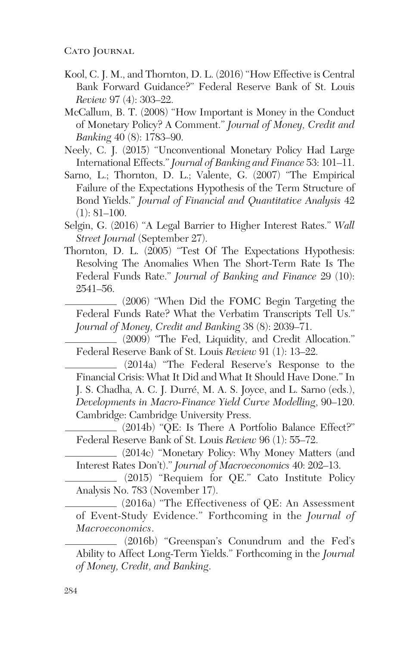- Kool, C. J. M., and Thornton, D. L. (2016) "How Effective is Central Bank Forward Guidance?" Federal Reserve Bank of St. Louis *Review* 97 (4): 303–22.
- McCallum, B. T. (2008) "How Important is Money in the Conduct of Monetary Policy? A Comment." *Journal of Money, Credit and Banking* 40 (8): 1783–90.
- Neely, C. J. (2015) "Unconventional Monetary Policy Had Large International Effects."*Journal of Banking and Finance* 53: 101–11.
- Sarno, L.; Thornton, D. L.; Valente, G. (2007) "The Empirical Failure of the Expectations Hypothesis of the Term Structure of Bond Yields." *Journal of Financial and Quantitative Analysis* 42  $(1): 81–100.$
- Selgin, G. (2016) "A Legal Barrier to Higher Interest Rates." *Wall Street Journal* (September 27).
- Thornton, D. L. (2005) "Test Of The Expectations Hypothesis: Resolving The Anomalies When The Short-Term Rate Is The Federal Funds Rate." *Journal of Banking and Finance* 29 (10): 2541–56.

(2006) "When Did the FOMC Begin Targeting the Federal Funds Rate? What the Verbatim Transcripts Tell Us." *Journal of Money, Credit and Banking* 38 (8): 2039–71.

(2009) "The Fed, Liquidity, and Credit Allocation." Federal Reserve Bank of St. Louis *Review* 91 (1): 13–22.

(2014a) "The Federal Reserve's Response to the Financial Crisis: What It Did and What It Should Have Done." In J. S. Chadha, A. C. J. Durré, M. A. S. Joyce, and L. Sarno (eds.), *Developments in Macro-Finance Yield Curve Modelling*, 90–120. Cambridge: Cambridge University Press.

(2014b) "QE: Is There A Portfolio Balance Effect?" Federal Reserve Bank of St. Louis *Review* 96 (1): 55–72.

(2014c) "Monetary Policy: Why Money Matters (and Interest Rates Don't)." *Journal of Macroeconomics* 40: 202–13.

(2015) "Requiem for QE." Cato Institute Policy Analysis No. 783 (November 17).

 $(2016a)$  "The Effectiveness of QE: An Assessment of Event-Study Evidence." Forthcoming in the *Journal of Macroeconomics*.

(2016b) "Greenspan's Conundrum and the Fed's Ability to Affect Long-Term Yields." Forthcoming in the *Journal of Money, Credit, and Banking*.